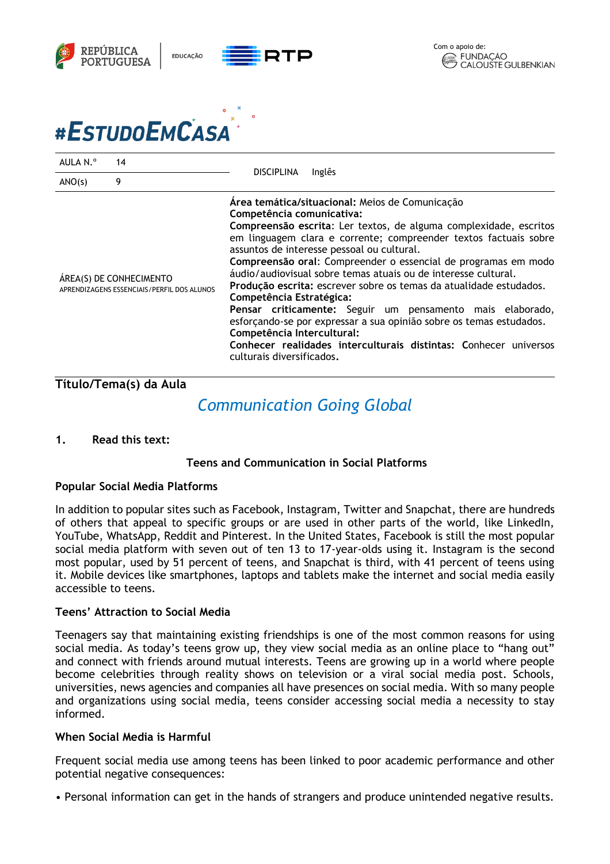



| AULA N.º | 14                                                                    | <b>DISCIPLINA</b><br>Inglês                                                                                                                                                                                                                                                                                                                                                                                                                                                                                                                                                                                                                                                                                                                                                  |
|----------|-----------------------------------------------------------------------|------------------------------------------------------------------------------------------------------------------------------------------------------------------------------------------------------------------------------------------------------------------------------------------------------------------------------------------------------------------------------------------------------------------------------------------------------------------------------------------------------------------------------------------------------------------------------------------------------------------------------------------------------------------------------------------------------------------------------------------------------------------------------|
| ANO(s)   | 9                                                                     |                                                                                                                                                                                                                                                                                                                                                                                                                                                                                                                                                                                                                                                                                                                                                                              |
|          | ÁREA(S) DE CONHECIMENTO<br>APRENDIZAGENS ESSENCIAIS/PERFIL DOS ALUNOS | Área temática/situacional: Meios de Comunicação<br>Competência comunicativa:<br>Compreensão escrita: Ler textos, de alguma complexidade, escritos<br>em linguagem clara e corrente; compreender textos factuais sobre<br>assuntos de interesse pessoal ou cultural.<br>Compreensão oral: Compreender o essencial de programas em modo<br>áudio/audiovisual sobre temas atuais ou de interesse cultural.<br>Produção escrita: escrever sobre os temas da atualidade estudados.<br>Competência Estratégica:<br>Pensar criticamente: Seguir um pensamento mais elaborado,<br>esforcando-se por expressar a sua opinião sobre os temas estudados.<br>Competência Intercultural:<br>Conhecer realidades interculturais distintas: Conhecer universos<br>culturais diversificados. |

# **Título/Tema(s) da Aula**

# *Communication Going Global*

**1. Read this text:**

### **Teens and Communication in Social Platforms**

### **Popular Social Media Platforms**

In addition to popular sites such as Facebook, Instagram, Twitter and Snapchat, there are hundreds of others that appeal to specific groups or are used in other parts of the world, like LinkedIn, YouTube, WhatsApp, Reddit and Pinterest. In the United States, Facebook is still the most popular social media platform with seven out of ten 13 to 17-year-olds using it. Instagram is the second most popular, used by 51 percent of teens, and Snapchat is third, with 41 percent of teens using it. Mobile devices like smartphones, laptops and tablets make the internet and social media easily accessible to teens.

### **Teens' Attraction to Social Media**

Teenagers say that maintaining existing friendships is one of the most common reasons for using social media. As today's teens grow up, they view social media as an online place to "hang out" and connect with friends around mutual interests. Teens are growing up in a world where people become celebrities through reality shows on television or a viral social media post. Schools, universities, news agencies and companies all have presences on social media. With so many people and organizations using social media, teens consider accessing social media a necessity to stay informed.

### **When Social Media is Harmful**

Frequent social media use among teens has been linked to poor academic performance and other potential negative consequences:

• Personal information can get in the hands of strangers and produce unintended negative results.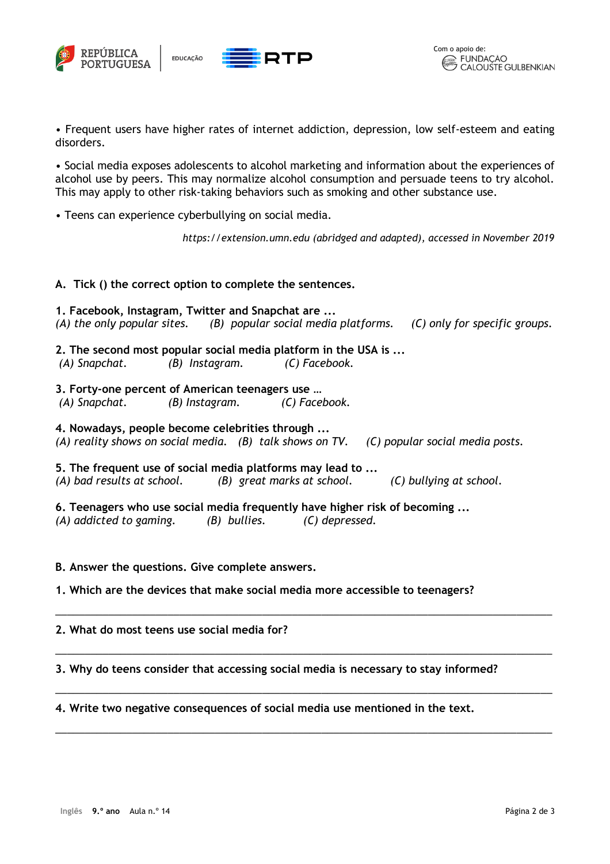





• Frequent users have higher rates of internet addiction, depression, low self-esteem and eating disorders.

• Social media exposes adolescents to alcohol marketing and information about the experiences of alcohol use by peers. This may normalize alcohol consumption and persuade teens to try alcohol. This may apply to other risk-taking behaviors such as smoking and other substance use.

• Teens can experience cyberbullying on social media.

*https://extension.umn.edu (abridged and adapted), accessed in November 2019*

### **A. Tick () the correct option to complete the sentences.**

**1. Facebook, Instagram, Twitter and Snapchat are ...**  *(A) the only popular sites. (B) popular social media platforms. (C) only for specific groups.*

- **2. The second most popular social media platform in the USA is ...** *(A) Snapchat. (B) Instagram. (C) Facebook.*
- **3. Forty-one percent of American teenagers use …**

*(A) Snapchat. (B) Instagram. (C) Facebook.* 

**4. Nowadays, people become celebrities through ...** *(A) reality shows on social media. (B) talk shows on TV. (C) popular social media posts.* 

**5. The frequent use of social media platforms may lead to ...** *(A) bad results at school. (B) great marks at school. (C) bullying at school.* 

**6. Teenagers who use social media frequently have higher risk of becoming ...**  *(A) addicted to gaming. (B) bullies. (C) depressed.* 

### **B. Answer the questions. Give complete answers.**

**1. Which are the devices that make social media more accessible to teenagers?**

### **2. What do most teens use social media for?**

**3. Why do teens consider that accessing social media is necessary to stay informed?** 

\_\_\_\_\_\_\_\_\_\_\_\_\_\_\_\_\_\_\_\_\_\_\_\_\_\_\_\_\_\_\_\_\_\_\_\_\_\_\_\_\_\_\_\_\_\_\_\_\_\_\_\_\_\_\_\_\_\_\_\_\_\_\_\_\_\_\_\_\_\_\_\_\_\_\_\_\_\_\_\_\_\_\_\_

\_\_\_\_\_\_\_\_\_\_\_\_\_\_\_\_\_\_\_\_\_\_\_\_\_\_\_\_\_\_\_\_\_\_\_\_\_\_\_\_\_\_\_\_\_\_\_\_\_\_\_\_\_\_\_\_\_\_\_\_\_\_\_\_\_\_\_\_\_\_\_\_\_\_\_\_\_\_\_\_\_\_\_\_

\_\_\_\_\_\_\_\_\_\_\_\_\_\_\_\_\_\_\_\_\_\_\_\_\_\_\_\_\_\_\_\_\_\_\_\_\_\_\_\_\_\_\_\_\_\_\_\_\_\_\_\_\_\_\_\_\_\_\_\_\_\_\_\_\_\_\_\_\_\_\_\_\_\_\_\_\_\_\_\_\_\_\_\_

\_\_\_\_\_\_\_\_\_\_\_\_\_\_\_\_\_\_\_\_\_\_\_\_\_\_\_\_\_\_\_\_\_\_\_\_\_\_\_\_\_\_\_\_\_\_\_\_\_\_\_\_\_\_\_\_\_\_\_\_\_\_\_\_\_\_\_\_\_\_\_\_\_\_\_\_\_\_\_\_\_\_\_\_

#### **4. Write two negative consequences of social media use mentioned in the text.**